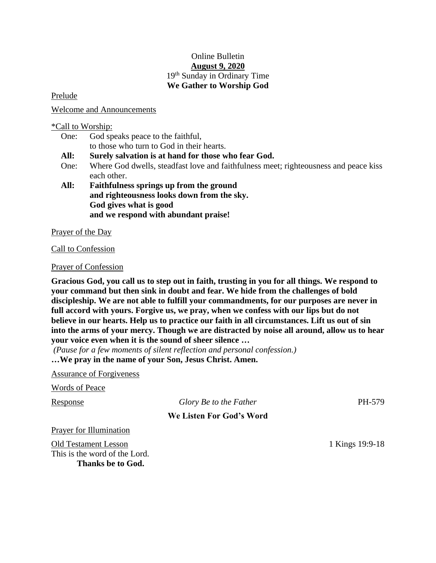## Online Bulletin **August 9, 2020** 19<sup>th</sup> Sunday in Ordinary Time **We Gather to Worship God**

Prelude

Welcome and Announcements

### \*Call to Worship:

- One: God speaks peace to the faithful, to those who turn to God in their hearts.
- **All: Surely salvation is at hand for those who fear God.**
- One: Where God dwells, steadfast love and faithfulness meet; righteousness and peace kiss each other.
- **All: Faithfulness springs up from the ground and righteousness looks down from the sky. God gives what is good and we respond with abundant praise!**

Prayer of the Day

Call to Confession

Prayer of Confession

**Gracious God, you call us to step out in faith, trusting in you for all things. We respond to your command but then sink in doubt and fear. We hide from the challenges of bold discipleship. We are not able to fulfill your commandments, for our purposes are never in full accord with yours. Forgive us, we pray, when we confess with our lips but do not believe in our hearts. Help us to practice our faith in all circumstances. Lift us out of sin into the arms of your mercy. Though we are distracted by noise all around, allow us to hear your voice even when it is the sound of sheer silence …**

*(Pause for a few moments of silent reflection and personal confession.)*

**…We pray in the name of your Son, Jesus Christ. Amen.**

Assurance of Forgiveness

Words of Peace

# Response *Glory Be to the Father* PH-579

### **We Listen For God's Word**

Prayer for Illumination

Old Testament Lesson 1 Kings 19:9-18 This is the word of the Lord. **Thanks be to God.**